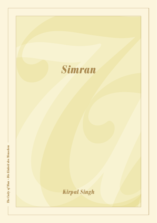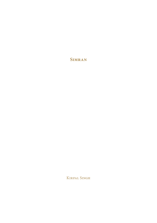Kirpal Singh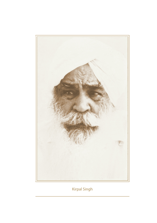

Kirpal Singh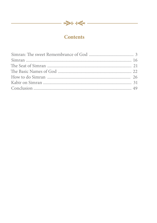

# **Contents**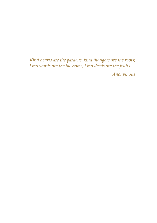*Kind hearts are the gardens, kind thoughts are the roots; kind words are the blossoms, kind deeds are the fruits.*

*Anonymous*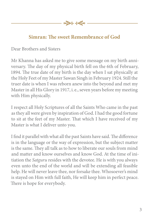$\sum_{i=1}^{n}$ 

### **Simran: The sweet Remembrance of God**

Dear Brothers and Sisters

Mr Khanna has asked me to give some message on my birth anniversary. The day of my physical birth fell on the 6th of February, 1894. The true date of my birth is the day when I sat physically at the Holy Feet of my Master Sawan Singh in February 1924. Still the truer date is when I was reborn anew into the beyond and met my Master in all His Glory in 1917, i. e., seven years before my meeting with Him physically.

I respect all Holy Scriptures of all the Saints Who came in the past as they all were given by inspiration of God. I had the good fortune to sit at the feet of my Master. That which I have received of my Master is what I deliver unto you.

I find it parallel with what all the past Saints have said. The difference is in the language or the way of expression, but the subject matter is the same. They all talk as to how to liberate our souls from mind and matter and know ourselves and know God. At the time of initiation the *Satguru* resides with the devotee. He is with you always even unto the end of the world and will be extending all feasible help. He will never leave thee, nor forsake thee. Whosoever's mind is stayed on Him with full faith, He will keep him in perfect peace. There is hope for everybody.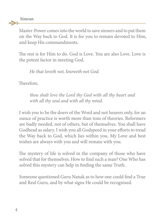بجانيها

Master-Power comes into the world to save sinners and to put them on the Way back to God. It is for you to remain devoted to Him, and keep His commandments.

The rest is for Him to do. God is Love. You are also Love. Love is the potent factor in meeting God.

*He that loveth not, knoweth not God.*

Therefore,

*thou shalt love the Lord thy God with all thy heart and with all thy soul and with all thy mind.*

I wish you to be the doers of the Word and not hearers only, for an ounce of practice is worth more than tons of theories. Reformers are badly needed, not of others, but of themselves. You shall have Godhead as salary. I wish you all Godspeed in your efforts to tread the Way back to God, which lies within you. My Love and best wishes are always with you and will remain with you.

The mystery of life is solved in the company of those who have solved that for themselves. How to find such a man? One Who has solved this mystery can help in finding the same Truth.

Someone questioned Guru Nanak as to how one could find a True and Real Guru, and by what signs He could be recognised.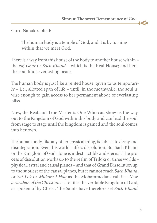Guru Nanak replied:

The human body is a temple of God, and it is by turning within that we meet God.

There is a way from this house of the body to another house within – the *Nij Ghar* or *Sach Khand* – which is the Real House; and here the soul finds everlasting peace.

The human body is just like a rented house, given to us temporarily – i. e., allotted span of life – until, in the meanwhile, the soul is wise enough to gain access to her permanent abode of everlasting bliss.

Now, the Real and True Master is One Who can show us the way out to the Kingdom of God within this body and can lead the soul from stage to stage until the kingdom is gained and the soul comes into her own.

The human body, like any other physical thing, is subject to decay and disintegration. Even this world suffers dissolution. But Sach Khand or the Kingdom of God alone is indestructible and eternal. The process of dissolution works up to the realm of Triloki or three worlds – physical, astral and causal planes – and that of Grand Dissolution up to the subtlest of the causal planes, but it cannot reach *Sach Khand*, or *Sat Lok* or *Mukam-i-Haq* as the Mohammedans call it – *New Jerusalem of the Christians* –, for it is the veritable Kingdom of God, as spoken of by Christ. The Saints have therefore set *Sach Khand*

 $+$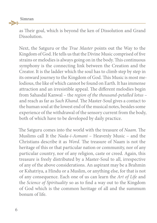بجانيها

as Their goal, which is beyond the ken of Dissolution and Grand Dissolution.

Next, the Satguru or the *True Master* points out the Way to the Kingdom of God. He tells us that the Divine Music comprised of five strains or melodies is always going on in the body. This continuous symphony is the connecting link between the Creation and the Creator. It is the ladder which the soul has to climb step by step in its onward journey to the Kingdom of God. This Music is most melodious, the like of which cannot be found on Earth. It has immense attraction and an irresistible appeal. The different melodies begin from Sahasdal Kanwal – the *region of the thousand-petalled lotus* – and reach as far as *Sach Khand*. The Master-Soul gives a contact to the human soul at the lowest end of the musical notes, besides some experience of the withdrawal of the sensory current from the body, both of which have to be developed by daily practice.

The Satguru comes into the world with the treasure of *Naam.* The Muslims call It the *Nada-i-Asmani* – Heavenly Music – and the Christians describe it as *Word*. The treasure of Naam is not the heritage of this or that particular nation or community, nor of any particular country, nor of any religion, caste or creed. Again, this treasure is freely distributed by a Master-Soul to all, irrespective of any of the above considerations. An aspirant may be a Brahmin or Kshatriya, a Hindu or a Muslim, or anything else, for that is not of any consequence. Each one of us can learn the *Art of Life* and the *Science of Spirituality* so as to find a way out to the Kingdom of God which is the common heritage of all and the summum bonum of life.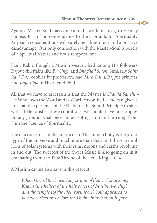

Saint Kabir, though a Muslim weaver, had among His followers Rajput chieftains like *Bir Singh* and *Bhaghail Singh*. Similarly *Saint Ravi Das*, cobbler by profession, had *Mira Bai*, a Rajput princess, and *Raja Pipa* in His Sacred Fold.

All that we have to ascertain is that the Master is *Shabda Sanehi* – He Who loves the Word and is Word Personified – and can give us first-hand experience of the Shabd or the Sound Principle to start with. If He satisfies these conditions, we should have no scruples on any ground whatsoever in accepting Him and learning from Him the Science of Spirituality.

The macrocosm is in the microcosm. The human body is the prototype of the universe and much more than that. In it there are millions of solar systems with their suns, moons and earths revolving in and out. The sweetest of the Sweet Music is also going on in it, emanating from the True Throne of the True King – God.

A Muslim divine also says in this respect:

*When I heard the bewitching strains of that Celestial Song, Kaaba (the holiest of the holy places of Muslim worship) and the temple (of the idol worshipers) both appeared to be bad caricatures before the Divine Intoxication It gave.*

 $+$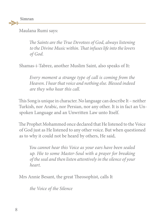بجانيها

Maulana Rumi says:

*The Saints are the True Devotees of God, always listening to the Divine Music within. That infuses life into the lovers of God.*

Shamas-i-Tabrez, another Muslim Saint, also speaks of It:

*Every moment a strange type of call is coming from the Heaven. I hear that voice and nothing else. Blessed indeed are they who hear this call.*

This Song is unique in character. No language can describe It – neither Turkish, nor Arabic, nor Persian, nor any other. It is in fact an Unspoken Language and an Unwritten Law unto Itself.

The Prophet Mohammed once declared that He listened to the Voice of God just as He listened to any other voice. But when questioned as to why it could not be heard by others, He said,

*You cannot hear this Voice as your ears have been sealed up. Hie to some Master-Soul with a prayer for breaking of the seal and then listen attentively in the silence of your heart.*

Mrs Annie Besant, the great Theosophist, calls It

*the Voice of the Silence*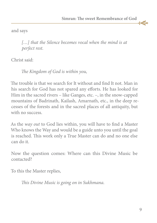and says

*[…] that the Silence becomes vocal when the mind is at perfect rest.*

Christ said:

*The Kingdom of God is within you,*

The trouble is that we search for It without and find It not. Man in his search for God has not spared any efforts. He has looked for Him in the sacred rivers – like Ganges, etc. –, in the snow-capped mountains of Badrinath, Kailash, Amarnath, etc., in the deep recesses of the forests and in the sacred places of all antiquity, but with no success.

As the *way out* to God lies within, you will have to find a Master Who knows the Way and would be a guide unto you until the goal is reached. This work only a True Master can do and no one else can do it.

Now the question comes: Where can this Divine Music be contacted?

To this the Master replies,

*This Divine Music is going on in Sukhmana.*

 $+$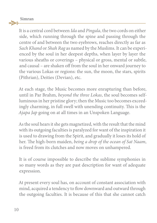بجانيها

It is a central cord between *Ida* and *Pingala*, the two cords on either side, which running through the spine and passing through the centre of and between the two eyebrows, reaches directly as far as *Sach Khand* or *Shah Rag* as named by the Muslims. It can be experienced by the soul in her deepest depths, when layer by layer the various sheaths or coverings – physical or gross, mental or subtle, and causal – are shaken off from the soul in her onward journey to the various Lokas or regions: the sun, the moon, the stars, spirits (Pithrian), Deities (Devian), etc.

At each stage, the Music becomes more enrapturing than before, until in Par Brahm, *beyond the three Lokas*, the soul becomes selfluminous in her pristine glory; then the Music too becomes exceedingly charming, in full swell with unending continuity. This is the *Ajapa Jap* going on at all times in an Unspoken Language.

As the soul hears it she gets magnetized, with the result that the mind with its outgoing faculties is paralyzed for want of the inspiration it is used to drawing from the Spirit, and gradually it loses its hold of her. The high-born maiden, *being a drop of the ocean of Sat Naam*, is freed from its clutches and now moves on unhampered.

It is of course impossible to describe the sublime symphonies in so many words as they are past description for want of adequate expression.

At present every soul has, on account of constant association with mind, acquired a tendency to flow downward and outward through the outgoing faculties. It is because of this that she cannot catch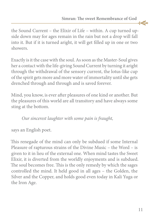the Sound Current – the Elixir of Life – within. A cup turned upside down may for ages remain in the rain but not a drop will fall into it. But if it is turned aright, it will get filled up in one or two showers.

Exactly is it the case with the soul. As soon as the Master-Soul gives her a contact with the life-giving Sound Current by turning it aright through the withdrawal of the sensory current, the lotus-like cup of the spirit gets more and more water of immortality until she gets drenched through and through and is saved forever.

Mind, you know, is ever after pleasures of one kind or another. But the pleasures of this world are all transitory and have always some sting at the bottom.

*Our sincerest laughter with some pain is fraught,*

says an English poet.

This renegade of the mind can only be subdued if some Internal Pleasure of rapturous strains of the Divine Music – the Word – is given to it in lieu of the external one. When mind tastes the Sweet Elixir, it is diverted from the worldly enjoyments and is subdued. The soul becomes free. This is the only remedy by which the sages controlled the mind. It held good in all ages – the Golden, the Silver and the Copper, and holds good even today in Kali Yuga or the Iron Age.

 $+$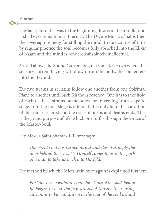بجانيها

The Sat is eternal. It was in the beginning, It was in the middle, and It shall ever remain until Eternity. The Divine Music of Sat is then the sovereign remedy for stilling the mind. In due course of time by regular practice the soul becomes fully absorbed into the Elixir of Naam and the mind is rendered absolutely ineffectual.

As said above, the Sound Current begins from *Turya Pad* when, the sensory current having withdrawn from the body, the soul enters into the Beyond.

The five strains in seriatim follow one another from one Spiritual Plane to another until Sach Khand is reached. One has to take hold of each of these strains or melodies for traversing from stage to stage until the final stage is attained. It is only here that salvation of the soul is assured and the cycle of births and deaths ends. This is the grand purpose of life, which one fulfils through the Grace of the Master-Soul.

The Master Saint Shamas-i-Tabrez says:

*The Great God has turned us out and closed strongly the door behind the eyes. He Himself comes to us in the garb of a man to take us back into His fold.*

The method by which He lets us in once again is explained further:

*First one has to withdraw into the silence of the soul, before he begins to hear the five strains of Music. The sensory current is to be withdrawn at the seat of the soul behind*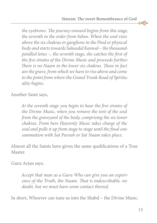*the eyebrows. The journey onward begins from this stage, the seventh in the order from below. When the soul rises above the six chakras or ganglions in the Pind or physical body and starts towards Sahasdal Kanwal – the thousandpetalled lotus –, the seventh stage, she catches the first of the five strains of the Divine Music and proceeds further. There is no Naam in the lower six chakras. These in fact are the grave, from which we have to rise above and come to the point from where the Grand Trunk Road of Spirituality begins.*

Another Saint says,

*At the seventh stage you begin to hear the five strains of the Divine Music, when you remove the tent of the soul from the graveyard of the body, comprising the six lower chakras. From here Heavenly Music takes charge of the soul and pulls it up from stage to stage until the final consummation with Sat Purush or Sat Naam takes place.*

Almost all the Saints have given the same qualifications of a True Master.

Guru Arjan says,

*Accept that man as a Guru Who can give you an experience of the Truth, the Naam. That is indescribable, no doubt, but we must have some contact thereof.*

In short, Whoever can tune us into the Shabd – the Divine Music.

 $+$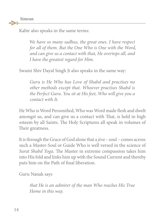بجانيها

Kabir also speaks in the same terms:

*We have so many sadhus, the great ones. I have respect for all of them. But the One Who is One with the Word, and can give us a contact with that, He overtops all, and I have the greatest regard for Him.*

Swami Shiv Dayal Singh Ji also speaks in the same way:

*Guru is He Who has Love of Shabd and practises no other methods except that. Whoever practises Shabd is the Perfect Guru. You sit at His feet, Who will give you a contact with It.*

He Who is Word Personified, Who was Word made flesh and dwelt amongst us, and can give us a contact with That, is held in high esteem by all Saints. The Holy Scriptures all speak in volumes of Their greatness.

It is through the Grace of God alone that a *jiva* – soul – comes across such a Master-Soul or Guide Who is well versed in the science of *Surat Shabd Yoga*. The Master in extreme compassion takes him into His fold and links him up with the Sound Current and thereby puts him on the Path of final liberation.

Guru Nanak says

*that He is an admirer of the man Who reaches His True Home in this way.*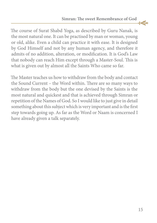The course of Surat Shabd Yoga, as described by Guru Nanak, is the most natural one. It can be practised by man or woman, young or old, alike. Even a child can practice it with ease. It is designed by God Himself and not by any human agency, and therefore it admits of no addition, alteration, or modification. It is God's Law that nobody can reach Him except through a Master-Soul. This is what is given out by almost all the Saints Who came so far.

The Master teaches us how to withdraw from the body and contact the Sound Current – the Word within. There are so many ways to withdraw from the body but the one devised by the Saints is the most natural and quickest and that is achieved through Simran or repetition of the Names of God. So I would like to just give in detail something about this subject which is very important and is the first step towards going up. As far as the Word or Naam is concerned I have already given a talk separately.

 $+$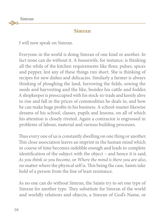بجانيها

#### **Simran**

I will now speak on Simran.

Everyone in the world is doing Simran of one kind or another. In fact none can do without it. A housewife, for instance, is thinking all the while of the kitchen requirements like flour, pulses, spices and pepper, lest any of these things run short. She is thinking of recipes for new dishes and delicacies. Similarly a farmer is always thinking of ploughing the land, furrowing the fields, sowing the seeds and harvesting and the like, besides his cattle and fodder. A shopkeeper is preoccupied with his stock-in-trade and keenly alive to rise and fall in the prices of commodities he deals in, and how he can make huge profits in his business. A school-master likewise dreams of his school, classes, pupils and lessons, on all of which his attention is closely riveted. Again a contractor is engrossed in problems of labour, material and various building processes.

Thus every one of us is constantly dwelling on one thing or another. This close association leaves an imprint in the human mind which in course of time becomes indelible enough and leads to complete identification of the subject with the object – and hence it is said, *As you think so you become*, or *Where the mind is there you are also*, no matter where the physical self is. This being the case, Saints take hold of a person from the line of least resistance.

As no one can do without Simran, the Saints try to set one type of Simran for another type. They substitute for Simran of the world and worldly relations and objects, a Simran of God's Name, or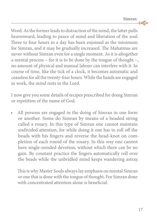Word. As the former leads to distraction of the mind, the latter pulls heavenward, leading to peace of mind and liberation of the soul. Three to four hours in a day has been enjoined as the minimum for Simran, and it may be gradually increased. The Mahatmas are never without Simran even for a single moment. As it is altogether a mental process – for it is to be done by the tongue of thought –, no amount of physical and manual labour can interfere with it. In course of time, like the tick of a clock, it becomes automatic and ceaseless for all the twenty-four hours. While the hands are engaged in work, the mind rests in the Lord.

I now give you some details of recipes prescribed for doing Simran or repetition of the name of God.

All persons are engaged in the doing of Simran in one form or another. Some do Simran by means of a beaded string called a rosary. In this type of Simran one cannot maintain undivided attention, for while doing it one has to roll off the beads with his fingers and reverse the head-knot on completion of each round of the rosary. In this way one cannot have single-minded devotion, without which there can be no gain. By constant practice the fingers automatically roll over the beads while the unbridled mind keeps wandering astray. •

This is why Master Souls always lay emphasis on mental Simran or one that is done with the tongue of thought. For Simran done with concentrated attention alone is beneficial.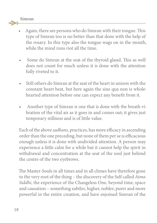بجانيها

- Again, there are persons who do Simran with their tongue. This type of Simran too is no better than that done with the help of the rosary. In this type also the tongue wags on in the mouth, while the mind runs riot all the time. •
- Some do Simran at the seat of the thyroid gland. This as well does not count for much unless it is done with the attention fully riveted to it. •
- Still others do Simran at the seat of the heart in unison with the constant heart beat, but here again the sine qua non is wholehearted attention before one can expect any benefit from it. •
- Another type of Simran is one that is done with the breath vibration of the vital air as it goes in and comes out; it gives just temporary stillness and is of little value. •

Each of the above *sadhans*, practices, has more efficacy in ascending order than the one preceding, but none of them per se is efficacious enough unless it is done with undivided attention. A person may experience a little calm for a while but it cannot help the spirit in withdrawal and concentration at the seat of the soul just behind the centre of the two eyebrows.

The Master-Souls in all times and in all climes have therefore gone to the very root of the thing – the discovery of the Self called *Atma Siddhi*, the experience of the Changeless One, beyond time, space and causation – something subtler, higher, nobler, purer and more powerful in the entire creation, and have enjoined Simran of the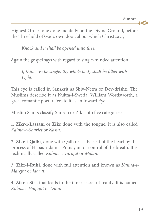Highest Order: one done mentally on the Divine Ground, before the Threshold of God's own door, about which Christ says,

*Knock and it shall be opened unto thee.*

Again the gospel says with regard to single-minded attention,

*If thine eye be single, thy whole body shall be filled with Light.*

This eye is called in Sanskrit as Shiv-Netra or Dev-drishti. The Muslims describe it as Nukta-i-Sweda. William Wordsworth, a great romantic poet, refers to it as an Inward Eye.

Muslim Saints classify Simran or Zikr into five categories:

1. **Zikr-i-Lassani** or **Zikr** done with the tongue. It is also called *Kalma-e-Shariet* or *Nasut*.

2. **Zikr-i-Qalbi**, done with Qalb or at the seat of the heart by the process of Habas-i-dam – Pranayam or control of the breath. It is technically called *Kalma- i-Tariqat* or *Malqut*.

3. **Zikr-i-Ruhi**, done with full attention and known as *Kalma-i-Marefat* or *Jabrut*.

4. **Zikr-i-Siri**, that leads to the inner secret of reality. It is named *Kalma-i-Haqiqat* or *Lahut.*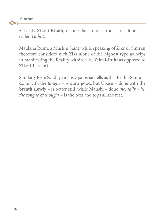بجانيها

5. Lastly **Zikr-i-Khaffi**, or one that unlocks the secret door. It is called *Hahut*.

Maulana Rumi, a Muslim Saint, while speaking of Zikr or Simran, therefore considers such Zikr alone of the highest type as helps in manifesting the Reality within, viz., **Zikr-i-Ruhi** as opposed to **Zikr-i-Lassani**.

Similarly Rishi Sandilya in his Upanishad tells us that Bekhri Simran – done with the *tongue* – is quite good, but Upasu – done with the **breath slowly** – is better still, while Manski – done *mentally with the tongue of thought* – is the best and tops all the rest.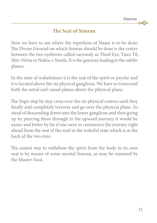$+$ 

### **The Seat of Simran**

Now we have to see where the repetition of Naam is to be done. The Divine Ground on which Simran should be done is the centre between the two eyebrows called variously as Third Eye, Tisra Til, Shiv-Netra or Nukta-i-Sweda. It is the gateway leading to the subtle planes.

In the state of wakefulness it is the seat of the spirit or psyche and it is located above the six physical ganglions. We have to transcend both the astral and causal planes above the physical plane.

The Yogis step by step cross over the six physical centres until they finally and completely traverse and go over the physical plane. Instead of descending down into the lower ganglions and then going up by piercing them through in the upward journey, it would be easier and better by far if one were to commence the journey right ahead from the seat of the soul in the wakeful state which is at the back of the two eyes.

The easiest way to withdraw the spirit from the body to its own seat is by means of some mental Simran, as may be enjoined by the Master-Soul.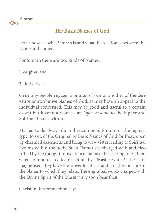بجانيها

## **The Basic Names of God**

Let us now see what Simran is and what the relation is between the Name and named.

For Simran there are two kinds of Names,

1. original and

2. derivative.

Generally people engage in Simran of one or another of the derivative or attributive Names of God, as may have an appeal to the individual concerned. This may be good and useful to a certain extent but it cannot work as an *Open Sesame* to the higher and Spiritual Planes within.

Master-Souls always do and recommend Simran of the highest type, to wit, of the Original or Basic Names of God for these open up charmed casements and bring to view vistas leading to Spiritual Realms within the body. Such Names are charged with and electrified by the thought transference that usually accompanies them when communicated to an aspirant by a Master-Soul. As these are magnetised, they have the power to attract and pull the spirit up to the planes to which they relate. The engrafted words charged with the Divine Spirit of the Master very soon bear fruit.

Christ in this connection says,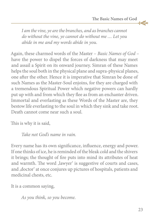*I am the vine, ye are the branches, and as branches cannot do without the vine, ye cannot do without me … Let you abide in me and my words abide in you.*

Again, these charmed words of the Master – *Basic Names of God* – have the power to dispel the forces of darkness that may meet and assail a Spirit on its onward journey. Simran of these Names helps the soul both in the physical plane and supra-physical planes, one after the other. Hence it is imperative that Simran be done of such Names as the Master-Soul enjoins, for they are charged with a tremendous Spiritual Power which negative powers can hardly put up with and from which they flee as from an enchanter driven. Immortal and everlasting as these Words of the Master are, they bestow life everlasting to the soul in which they sink and take root. Death cannot come near such a soul.

This is why it is said,

*Take not God's name in vain.*

Every name has its own significance, influence, energy and power. If one thinks of ice, he is reminded of the bleak cold and the shivers it brings; the thought of fire puts into mind its attributes of heat and warmth. The word , lawyer' is suggestive of courts and cases, and , doctor' at once conjures up pictures of hospitals, patients and medicinal chests, etc.

It is a common saying,

*As you think, so you become.*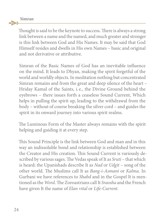بجانيها

Thought is said to be the keynote to success. There is always a strong link between a name and the named, and much greater and stronger is this link between God and His Names. It may be said that God Himself resides and dwells in His own Names – basic and original and not derivative or attributive.

Simran of the Basic Names of God has an inevitable influence on the mind. It leads to Dhyan, making the spirit forgetful of the world and worldly objects. In meditation nothing but concentrated Simran remains and from the great and deep silence of the heart – Hriday Kamal of the Saints, i. e., the Divine Ground behind the eyebrows – there issues forth a ceaseless Sound Current, Which helps in pulling the spirit up, leading to the withdrawal from the body – without of course breaking the silver cord – and guides the spirit in its onward journey into various spirit realms.

The Luminous Form of the Master always remains with the spirit helping and guiding it at every step.

This Sound Principle is the link between God and man and in this way an indissoluble bond and relationship is established between the Creator and His creation. This Sound Current is variously described by various sages. The Vedas speak of It as *Sruti* – that which is heard; the Upanishads describe It as *Nad* or *Udgit* – song of the other world. The Muslims call It as *Bang-i-Asmani* or *Kalma.* In Gurbani we have references to *Shabd* and in the Gospel It is mentioned as the *Word*. The Zoroastrians call It *Sraosha* and the French have given It the name of *Elan vital* or *Life-Current*.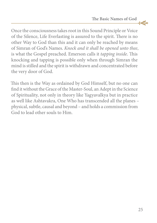Once the consciousness takes root in this Sound Principle or Voice of the Silence, Life Everlasting is assured to the spirit. There is no other Way to God than this and it can only be reached by means of Simran of God's Names. *Knock and it shall be opened unto thee*, is what the Gospel preached. Emerson calls it *tapping inside*. This knocking and tapping is possible only when through Simran the mind is stilled and the spirit is withdrawn and concentrated before the very door of God.

This then is the Way as ordained by God Himself, but no one can find it without the Grace of the Master-Soul, an Adept in the Science of Spirituality, not only in theory like Yagyavalkya but in practice as well like Ashtavakra, One Who has transcended all the planes – physical, subtle, causal and beyond – and holds a commission from God to lead other souls to Him.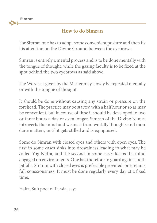بجانيها

### **How to do Simran**

For Simran one has to adopt some convenient posture and then fix his attention on the Divine Ground between the eyebrows.

Simran is entirely a mental process and is to be done mentally with the tongue of thought, while the gazing faculty is to be fixed at the spot behind the two eyebrows as said above.

The Words as given by the Master may slowly be repeated mentally or with the tongue of thought.

It should be done without causing any strain or pressure on the forehead. The practice may be started with a half hour or so as may be convenient, but in course of time it should be developed to two or three hours a day or even longer. Simran of the Divine Names introverts the mind and weans it from worldly thoughts and mundane matters, until it gets stilled and is equipoised.

Some do Simran with closed eyes and others with open eyes. The first in some cases sinks into drowsiness leading to what may be called Yog Nidra, and the second in some cases keeps the mind engaged on environments. One has therefore to guard against both pitfalls. Simran with closed eyes is preferable provided, one retains full consciousness. It must be done regularly every day at a fixed time.

Hafiz, Sufi poet of Persia, says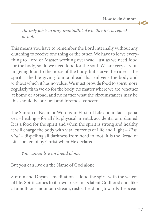*The only job is to pray, unmindful of whether it is accepted or not.*

This means you have to remember the Lord internally without any clutching to receive one thing or the other. We have to leave everything to Lord or Master working overhead. Just as we need food for the body, so do we need food for the soul. We are very careful in giving food to the horse of the body, but starve the rider – the spirit – the life-giving fountainhead that enlivens the body and without which it has no value. We must provide food to spirit more regularly than we do for the body; no matter where we are, whether at home or abroad, and no matter what the circumstances may be, this should be our first and foremost concern.

The Simran of Naam or Word is an Elixir of Life and in fact a panacea – healing – for all ills, physical, mental, accidental or ordained. It is a food for the spirit and when the spirit is strong and healthy it will charge the body with vital currents of Life and Light – *Elan vital* – dispelling all darkness from head to foot. It is the Bread of Life spoken of by Christ when He declared:

*You cannot live on bread alone.*

But you can live on the Name of God alone.

Simran and Dhyan – meditation – flood the spirit with the waters of life. Spirit comes to its own, rises in its latent Godhood and, like a tumultuous mountain stream, rushes headlong towards the ocean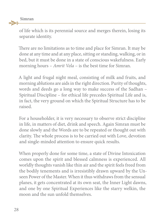بجانيها

of life which is its perennial source and merges therein, losing its separate identity.

There are no limitations as to time and place for Simran. It may be done at any time and at any place, sitting or standing, walking, or in bed, but it must be done in a state of conscious wakefulness. Early morning hours – *Amrit Vela* – is the best time for Simran.

A light and frugal night meal, consisting of milk and fruits, and morning ablutions are aids in the right direction. Purity of thoughts, words and deeds go a long way to make success of the Sadhan – Spiritual Discipline – for ethical life precedes Spiritual Life and is, in fact, the very ground on which the Spiritual Structure has to be raised.

For a householder, it is very necessary to observe strict discipline in life, in matters of diet, drink and speech. Again Simran must be done slowly and the Words are to be repeated or thought out with clarity. The whole process is to be carried out with Love, devotion and single-minded attention to ensure quick results.

When properly done for some time, a state of Divine Intoxication comes upon the spirit and blessed calmness is experienced. All worldly thoughts vanish like thin air and the spirit feels freed from the bodily tenements and is irresistibly drawn upward by the Unseen Power of the Master. When it thus withdraws from the sensual planes, it gets concentrated at its own seat, the Inner Light dawns, and one by one Spiritual Experiences like the starry welkin, the moon and the sun unfold themselves.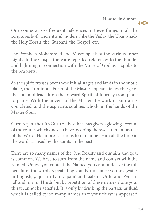One comes across frequent references to these things in all the scriptures both ancient and modern, like the Vedas, the Upanishads, the Holy Koran, the Gurbani, the Gospel, etc.

The Prophets Mohammed and Moses speak of the various Inner Lights. In the Gospel there are repeated references to the thunder and lightning in connection with the Voice of God as It spoke to the prophets.

As the spirit crosses over these initial stages and lands in the subtle plane, the Luminous Form of the Master appears, takes charge of the soul and leads it on the onward Spiritual Journey from plane to plane. With the advent of the Master the work of Simran is completed, and the aspirant's soul lies wholly in the hands of the Master-Soul.

Guru Arjan, the fifth Guru of the Sikhs, has given a glowing account of the results which one can have by doing the sweet remembrance of the Word. He impresses on us to remember Him all the time in the words as used by the Saints in the past.

There are so many names of the One Reality and our aim and goal is common. We have to start from the name and contact with the Named. Unless you contact the Named you cannot derive the full benefit of the words repeated by you. For instance you say ,water' in English, ,aqua' in Latin, ,pani' and ,aab' in Urdu and Persian, ,jal' and ,nir' in Hindi, but by repetition of these names alone your thirst cannot be satisfied. It is only by drinking the particular fluid which is called by so many names that your thirst is appeased.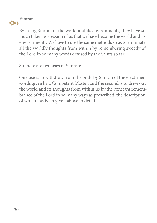بجانيها

By doing Simran of the world and its environments, they have so much taken possession of us that we have become the world and its environments. We have to use the same methods so as to eliminate all the worldly thoughts from within by remembering sweetly of the Lord in so many words devised by the Saints so far.

So there are two uses of Simran:

One use is to withdraw from the body by Simran of the electrified words given by a Competent Master, and the second is to drive out the world and its thoughts from within us by the constant remembrance of the Lord in so many ways as prescribed, the description of which has been given above in detail.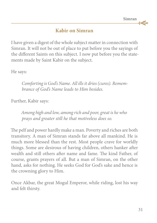#### **Kabir on Simran**

I have given a digest of the whole subject matter in connection with Simran. It will not be out of place to put before you the sayings of the different Saints on this subject. I now put before you the statements made by Saint Kabir on the subject.

He says:

*Comforting is God's Name. All ills it dries (cures). Remembrance of God's Name leads to Him besides.*

Further, Kabir says:

*Among high and low, among rich and poor, great is he who prays and greater still he that motiveless does so.*

The pelf and power hardly make a man. Poverty and riches are both transitory. A man of Simran stands far above all mankind. He is much more blessed than the rest. Most people crave for worldly things. Some are desirous of having children, others hanker after wealth and still others after name and fame. The kind Father, of course, grants prayers of all. But a man of Simran, on the other hand, asks for nothing. He seeks God for God's sake and hence is the crowning glory to Him.

Once Akbar, the great Mogul Emperor, while riding, lost his way and felt thirsty.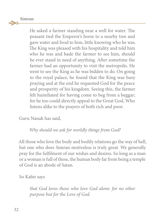بجانيها

He asked a farmer standing near a well for water. The peasant tied the Emperor's horse to a nearby tree and gave water and food to him, little knowing who he was. The King was pleased with his hospitality and told him who he was and bade the farmer to see him, should he ever stand in need of anything. After sometime the farmer had an opportunity to visit the metropolis. He went to see the King as he was bidden to do. On going to the royal palace, he found that the King was busy praying and at the end he requested God for the peace and prosperity of his kingdom. Seeing this, the farmer felt humiliated for having come to beg from a beggar; for he too could directly appeal to the Great God, Who listens alike to the prayers of both rich and poor.

Guru Nanak has said,

*Why should we ask for worldly things from God?*

All those who love the body and bodily relations go the way of hell, but one who does Simran motiveless is truly great. We generally pray for the fulfilment of our wishes and desires. So long as a man or a woman is full of these, the human body far from being a temple of God is an abode of Satan.

So Kabir says

*that God loves those who love God alone: for no other purpose but for the Love of God.*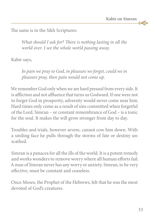The same is in the Sikh Scriptures:

*What should I ask for? There is nothing lasting in all the world over. I see the whole world passing away.*

Kabir says,

*In pain we pray to God, in pleasure we forget, could we in pleasure pray, then pain would not come up.*

We remember God only when we are hard pressed from every side. It is affliction and not affluence that turns us Godward. If one were not to forget God in prosperity, adversity would never come near him. Hard times only come as a result of sins committed when forgetful of the Lord. Simran – or constant remembrance of God – is a tonic for the soul. It makes the will grow stronger from day to day.

Troubles and trials, however severe, cannot cow him down. With a smiling face he pulls through the storms of fate or destiny unscathed.

Simran is a panacea for all the ills of the world. It is a potent remedy and works wonders to remove worry where all human efforts fail. A man of Simran never has any worry or anxiety. Simran, to be very effective, must be constant and ceaseless.

Once Moses, the Prophet of the Hebrews, felt that he was the most devoted of God's creatures.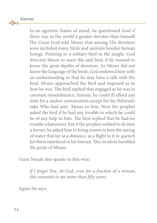بجانيها

In an egotistic frame of mind, he questioned God if there was in the world a greater devotee than himself. The Great God told Moses that among His devotees were included many birds and animals besides human beings. Pointing to a solitary bird in the jungle, God directed Moses to meet the said bird, if he wanted to know the great depths of devotion. As Moses did not know the language of the birds, God endowed him with an understanding so that he may have a talk with the bird. Moses approached the bird and inquired as to how he was. The bird replied that engaged as he was in constant remembrance, Simran, he could ill afford any time for a useless conversation except for the Beloved's sake Who had sent Moses to him. Next the prophet asked the bird if he had any trouble in which he could be of any help to him. The bird replied that he had no trouble whatsoever, but if the prophet wished to do him a favour, he asked him to bring nearer to him the spring of water that lay at a distance, as a flight to it to quench his thirst interfered in his Simran. This incident humbled the pride of Moses.

Guru Nanak also speaks in this wise:

*If I forget You, oh God, even for a fraction of a minute, this amounts to me more than fifty years.*

Again He says,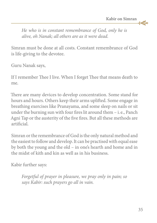*He who is in constant remembrance of God, only he is alive, oh Nanak; all others are as it were dead.*

Simran must be done at all costs. Constant remembrance of God is life-giving to the devotee.

Guru Nanak says,

If I remember Thee I live. When I forget Thee that means death to me.

There are many devices to develop concentration. Some stand for hours and hours. Others keep their arms uplifted. Some engage in breathing exercises like Pranayama, and some sleep on nails or sit under the burning sun with four fires lit around them – i. e., Panch Agni Tap or the austerity of the five fires. But all these methods are artificial.

Simran or the remembrance of God is the only natural method and the easiest to follow and develop. It can be practised with equal ease by both the young and the old – in one's hearth and home and in the midst of kith and kin as well as in his business.

Kabir further says:

*Forgetful of prayer in pleasure, we pray only in pain; so says Kabir: such prayers go all in vain.*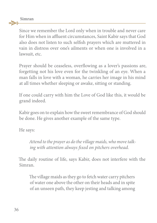بجانيها

Since we remember the Lord only when in trouble and never care for Him when in affluent circumstances, Saint Kabir says that God also does not listen to such selfish prayers which are muttered in vain in distress over one's ailments or when one is involved in a lawsuit, etc.

Prayer should be ceaseless, overflowing as a lover's passions are, forgetting not his love even for the twinkling of an eye. When a man falls in love with a woman, he carries her image in his mind at all times whether sleeping or awake, sitting or standing.

If one could carry with him the Love of God like this, it would be grand indeed.

Kabir goes on to explain how the sweet remembrance of God should be done. He gives another example of the same type.

He says:

*Attend to the prayer as do the village maids, who move talking with attention always fixed on pitchers overhead.*

The daily routine of life, says Kabir, does not interfere with the Simran.

The village maids as they go to fetch water carry pitchers of water one above the other on their heads and in spite of an unseen path, they keep jesting and talking among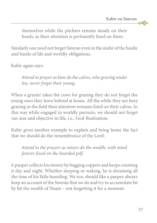themselves while the pitchers remain steady on their heads, as their attention is pertinently fixed on them.

Similarly one need not forget Simran even in the midst of the hustle and bustle of life and worldly obligations.

Kabir again says:

*Attend to prayer as kine do the calves, who grazing under lea, never forget their young.*

When a grazier takes the cows for grazing they do not forget the young ones they leave behind at home. All the while they are busy grazing in the field their attention remains fixed on their calves. In this way while engaged in worldly pursuits, we should not forget our aim and objective in life, i.e., God-Realisation.

Kabir gives another example to explain and bring home the fact that we should do the remembrance of the Lord:

*Attend to the prayers as misers do the wealth, with mind forever fixed on the hoarded pelf.*

A pauper collects his money by begging coppers and keeps counting it day and night. Whether sleeping or waking, he is dreaming all the time of his little hoarding. We too, should like a pauper always keep an account of the Simran that we do and try to accumulate bit by bit the wealth of Naam – not forgetting it for a moment.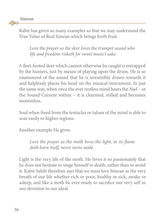بجانيها

Kabir has given so many examples so that we may understand the True Value of Real Simran which brings forth fruit.

*Love the prayer as the deer loves the trumpet sound who life and freedom risketh for sweet music's sake.*

A fleet-footed deer which cannot otherwise be caught is entrapped by the hunters, just by means of playing upon the drum. He is so enamoured of the sound that he is irresistibly drawn towards it and helplessly places his head on the musical instrument. In just the same way, when once the ever restless mind hears the *Nad* – or the Sound Current within – it is charmed, stilled and becomes motionless.

Soul when freed from the tentacles or talons of the mind is able to soar easily to higher regions.

Another example He gives:

*Love the prayer as the moth loves the light, in its flame doth burn itself, never turns aside.*

Light is the very life of the moth. He loves it so passionately that he does not hesitate to singe himself to death, rather than to avoid it. Kabir Sahib therefore says that we must love Simran as the very breath of our life whether rich or poor, healthy or sick, awake or asleep, and like a moth be ever-ready to sacrifice our very self in our devotion to our ideal.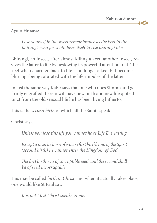Again He says:

*Lose yourself in the sweet remembrance as the keet in the bhirangi, who for sooth loses itself to rise bhirangi like.*

Bhirangi, an insect, after almost killing a keet, another insect, revives the latter to life by bestowing its powerful attention to it. The keet when charmed back to life is no longer a keet but becomes a bhirangi-being saturated with the life-impulse of the latter.

In just the same way Kabir says that one who does Simran and gets firmly engrafted therein will have new birth and new life quite distinct from the old sensual life he has been living hitherto.

This is the *second birth* of which all the Saints speak.

Christ says,

*Unless you lose this life you cannot have Life Everlasting.*

*Except a man be born of water (first birth) and of the Spirit (second birth) he cannot enter the Kingdom of God.*

*The first birth was of corruptible seed, and the second shall be of seed incorruptible.*

This may be called *birth in Christ*, and when it actually takes place, one would like St Paul say,

*It is not I but Christ speaks in me.*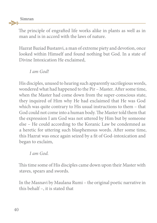بجانيها

The principle of engrafted life works alike in plants as well as in man and is in accord with the laws of nature.

Hazrat Baziad Bustanvi, a man of extreme piety and devotion, once looked within Himself and found nothing but God. In a state of Divine Intoxication He exclaimed,

*I am God!*

His disciples, unused to hearing such apparently sacrilegious words, wondered what had happened to the Pir – Master. After some time, when the Master had come down from the super-conscious state, they inquired of Him why He had exclaimed that He was God which was quite contrary to His usual instructions to them – that God could not come into a human body. The Master told them that the expression I am God was not uttered by Him but by someone else – He could according to the Koranic Law be condemned as a heretic for uttering such blasphemous words. After some time, this Hazrat was once again seized by a fit of God-intoxication and began to exclaim,

*I am God.*

This time some of His disciples came down upon their Master with staves, spears and swords.

In the Masnavi by Maulana Rumi – the original poetic narrative in this behalf –, it is stated that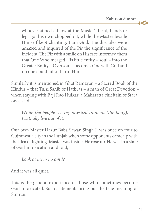whoever aimed a blow at the Master's head, hands or legs got his own chopped off, while the Master beside Himself kept chanting, I am God. The disciples were amazed and inquired of the Pir the significance of the incident. The Pir with a smile on His face informed them that One Who merged His little entity – soul – into the Greater Entity – Oversoul – becomes One with God and no one could hit or harm Him.

Similarly it is mentioned in Ghat Ramayan – a Sacred Book of the Hindus – that Tulsi Sahib of Hathras – a man of Great Devotion – when staying with Baji Rao Hulkar, a Maharatta chieftain of Stara, once said:

*While the people see my physical raiment (the body), I actually live out of it.*

Our own Master Hazur Baba Sawan Singh Ji was once on tour to Gujranwala city in the Punjab when some opponents came up with the idea of fighting. Master was inside. He rose up. He was in a state of God-intoxication and said,

*Look at me, who am I?*

And it was all quiet.

This is the general experience of those who sometimes become God-intoxicated. Such statements bring out the true meaning of Simran.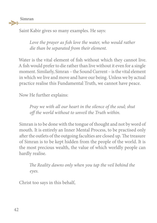بجانيها

Saint Kabir gives so many examples. He says:

Love the prayer as fish love the water, who would rather *die than be separated from their element.*

Water is the vital element of fish without which they cannot live. A fish would prefer to die rather than live without it even for a single moment. Similarly, Simran – the Sound Current – is the vital element in which we live and move and have our being. Unless we by actual practice realise this Fundamental Truth, we cannot have peace.

Now He further explains:

*Pray we with all our heart in the silence of the soul; shut off the world without to unveil the Truth within.*

Simran is to be done with the tongue of thought and not by word of mouth. It is entirely an Inner Mental Process, to be practised only after the outlets of the outgoing faculties are closed up. The treasure of Simran is to be kept hidden from the people of the world. It is the most precious wealth, the value of which worldly people can hardly realise.

*The Reality dawns only when you tap the veil behind the eyes.*

Christ too says in this behalf,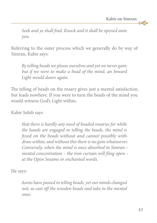*Seek and ye shall find. Knock and it shall be opened unto you.*

Referring to the outer process which we generally do by way of Simran, Kabir says:

*By telling beads we please ourselves and yet we never gain; but if we were to make a bead of the mind, an Inward Light would dawn again.*

The telling of beads on the rosary gives just a mental satisfaction, but leads nowhere. If you were to turn the beads of the mind you would witness God's Light within.

Kabir Sahib says

*that there is hardly any need of beaded rosaries for while the hands are engaged in telling the beads, the mind is fixed on the beads without and cannot possibly withdraw within; and without this there is no gain whatsoever. Conversely, when the mind is once absorbed in Simran – mental concentration – the iron curtain will fling open – at the Open Sesame or enchanted words.*

He says:

*Aeons have passed in telling beads, yet our minds changed not; so cast off the wooden beads and take to the mental ones.*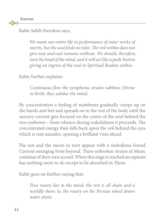بجانيها

Kabir Sahib therefore says,

*We waste our entire life in performance of outer works of merits, but the soul finds no inlet. The veil within does not give way and soul remains without. We should, therefore, turn the bead of the mind, and it will act like a push-button giving an ingress of the soul to Spiritual Realms within.*

Kabir further explains:

*Continuous flow the symphonic strains sublime; Divine in birth, they subdue the mind.*

By concentration a feeling of numbness gradually creeps up on the hands and feet and spreads on to the rest of the body until the sensory current gets focused on the centre of the soul behind the two eyebrows – from whence during wakefulness it proceeds. The concentrated energy then falls back upon the veil behind the eyes which is rent asunder, opening a brilliant vista ahead.

The sun and the moon in turn appear with a melodious Sound Current emerging from beyond. These unbroken strains of Music continue of their own accord. When this stage is reached an aspirant has nothing more to do except to be absorbed in Them.

Kabir goes on further saying that:

*True rosary lies in the mind, the rest is all sham and a worldly show; lo, the rosary on the Persian wheel draws water alone.*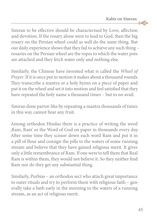Simran to be effective should be characterised by Love, affection and devotion. If the rosary alone were to lead to God, then the big rosary on the Persian wheel could as well do the same thing. But our daily experience shows that they fail to achieve any such thing – rosaries on the Persian wheel are the ropes to which the water pots are attached and they fetch water only and nothing else.

Similarly, the Chinese have invented what is called the *Wheel of Prayer*. If it is once put in motion it makes about a thousand rounds. They transcribe a mantra or a holy hymn on a piece of paper and put it on the wheel and set it into motion and feel satisfied that they have repeated the holy name a thousand times – but to no avail.

Simran done parrot-like by repeating a mantra thousands of times in this way cannot bear any fruit.

Among orthodox Hindus there is a practice of writing the word , Ram, Ram' or the Word of God on paper in thousands every day. After some time they scissor down each word Ram and put it in a pill of flour and consign the pills to the waters of some running stream and believe that they have gained religious merit. It gives only a little remembrance of Ram. If one were to tell them that Real Ram is within them, they would not believe it. So they neither find Ram nor do they get any substantial thing.

Similarly, Purbias – an orthodox sect who attach great importance to outer rituals and try to perform them with religious faith – generally take a bath early in the morning in the waters of a running stream, as an act of religious merit.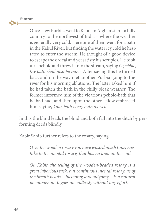بجانيها

Once a few Purbias went to Kabul in Afghanistan – a hilly country to the northwest of India – where the weather is generally very cold. Here one of them went for a bath in the Kabul River, but finding the water icy cold he hesitated to enter the stream. He thought of a good device to escape the ordeal and yet satisfy his scruples. He took up a pebble and threw it into the stream, saying *O pebble, thy bath shall also be mine*. After saying this he turned back and on the way met another Purbia going to the river for his morning ablutions. The latter asked him if he had taken the bath in the chilly bleak weather. The former informed him of the vicarious pebble-bath that he had had, and thereupon the other fellow embraced him saying, *Your bath is my bath as well*.

In this the blind leads the blind and both fall into the ditch by performing deeds blindly.

Kabir Sahib further refers to the rosary, saying:

*Over the wooden rosary you have wasted much time; now take to the mental rosary, that has no knot on the end.*

*Oh Kabir, the telling of the wooden-beaded rosary is a great laborious task, but continuous mental rosary, as of the breath beads – incoming and outgoing – is a natural phenomenon. It goes on endlessly without any effort.*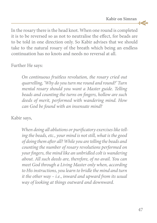In the rosary there is the head knot. When one round is completed it is to be reversed so as not to neutralise the effect, for beads are to be told in one direction only. So Kabir advises that we should take to the natural rosary of the breath which being an endless continuation has no knots and needs no reversal at all.

Further He says:

*On continuous fruitless revolution, the rosary cried out quarrelling, 'Why do you turn me round and round?' Turn mental rosary should you want a Master guide. Telling beads and counting the turns on fingers, hollow are such deeds of merit, performed with wandering mind. How can God be found with an insensate mind?*

Kabir says,

*When doing all ablutions or purificatory exercises like telling the beads, etc., your mind is not still, what is the good of doing them after all? While you are telling the beads and counting the number of rosary revolutions performed on your fingers, the mind like an unbridled colt is wandering about. All such deeds are, therefore, of no avail. You can meet God through a Living Master only when, according to His instructions, you learn to bridle the mind and turn it the other way – i.e., inward and upward from its usual way of looking at things outward and downward.*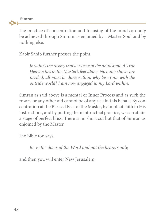بجانيها

The practice of concentration and focusing of the mind can only be achieved through Simran as enjoined by a Master-Soul and by nothing else.

Kabir Sahib further presses the point.

*In vain is the rosary that loosens not the mind knot. A True Heaven lies in the Master's feet alone. No outer shows are needed, all must be done within; why lose time with the outside world? I am now engaged in my Lord within.*

Simran as said above is a mental or Inner Process and as such the rosary or any other aid cannot be of any use in this behalf. By concentration at the Blessed Feet of the Master, by implicit faith in His instructions, and by putting them into actual practice, we can attain a stage of perfect bliss. There is no short cut but that of Simran as enjoined by the Master.

The Bible too says,

*Be ye the doers of the Word and not the hearers only,*

and then you will enter New Jerusalem.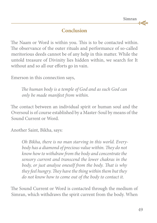$+$ 

### **Conclusion**

The Naam or Word is within you. This is to be contacted within. The observance of the outer rituals and performance of so-called meritorious deeds cannot be of any help in this matter. While the untold treasure of Divinity lies hidden within, we search for It without and so all our efforts go in vain.

Emerson in this connection says,

*The human body is a temple of God and as such God can only be made manifest from within.*

The contact between an individual spirit or human soul and the Oversoul is of course established by a Master-Soul by means of the Sound Current or Word.

Another Saint, Bikha, says:

*Oh Bikha, there is no man starving in this world. Everybody has a diamond of precious value within. They do not know how to withdraw from the body and concentrate the sensory current and transcend the lower chakras in the body, or just analyse oneself from the body. That is why they feel hungry. They have the thing within them but they do not know how to come out of the body to contact it.*

The Sound Current or Word is contacted through the medium of Simran, which withdraws the spirit current from the body. When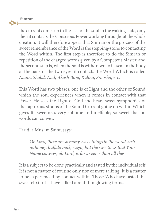بجانيها

the current comes up to the seat of the soul in the waking state, only then it contacts the Conscious Power working throughout the whole creation. It will therefore appear that Simran or the process of the sweet remembrance of the Word is the stepping-stone to contacting the Word within. The first step is therefore to do the Simran or repetition of the charged words given by a Competent Master, and the second step is, when the soul is withdrawn to its seat in the body at the back of the two eyes, it contacts the Word Which is called *Naam*, *Shabd*, *Nad*, *Akash Bani*, *Kalma*, *Sraosha*, etc.

This Word has two phases: one is of Light and the other of Sound, which the soul experiences when it comes in contact with that Power. He sees the Light of God and hears sweet symphonies of the rapturous strains of the Sound Current going on within Which gives Its sweetness very sublime and ineffable; so sweet that no words can convey.

Farid, a Muslim Saint, says:

*Oh Lord, there are so many sweet things in the world such as honey, buffalo milk, sugar, but the sweetness that Your Name conveys, oh Lord, is far sweeter than all these.*

It is a subject to be done practically and tasted by the individual self. It is not a matter of routine only nor of mere talking. It is a matter to be experienced by contact within. Those Who have tasted the sweet elixir of It have talked about It in glowing terms.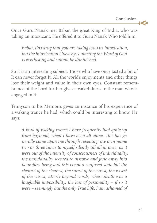Once Guru Nanak met Babar, the great King of India, who was taking an intoxicant. He offered it to Guru Nanak Who told him,

*Babar, this drug that you are taking loses its intoxication, but the intoxication I have by contacting the Word of God is everlasting and cannot be diminished.*

So it is an interesting subject. Those who have once tasted a bit of It can never forget It. All the world's enjoyments and other things lose their weight and value in their own eyes. Constant remembrance of the Lord further gives a wakefulness to the man who is engaged in it.

Tennyson in his Memoirs gives an instance of his experience of a waking trance he had, which could be interesting to know. He says:

*A kind of waking trance I have frequently had quite up from boyhood, when I have been all alone. This has generally come upon me through repeating my own name two or three times to myself silently till all at once, as it were out of the intensity of consciousness of individuality, the individuality seemed to dissolve and fade away into boundless being and this is not a confused state but the clearest of the clearest, the surest of the surest, the wisest of the wisest, utterly beyond words, where death was a laughable impossibility, the loss of personality – if so it were – seemingly but the only True Life. I am ashamed of*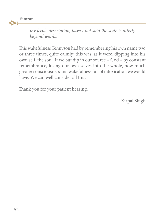بجانيها

*my feeble description, have I not said the state is utterly beyond words.*

This wakefulness Tennyson had by remembering his own name two or three times, quite calmly; this was, as it were, dipping into his own self, the soul. If we but dip in our source – God – by constant remembrance, losing our own selves into the whole, how much greater consciousness and wakefulness full of intoxication we would have. We can well consider all this.

Thank you for your patient hearing.

Kirpal Singh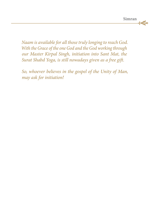

*Naam is available for all those truly longing to reach God. With the Grace of the one God and the God working through our Master Kirpal Singh, initiation into Sant Mat, the Surat Shabd Yoga, is still nowadays given as a free gift.*

*So, whoever believes in the gospel of the Unity of Man, may ask for initiation!*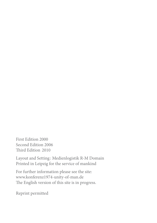First Edition 2000 Second Edition 2006 Third Edition 2010

Layout and Setting : Medienlogistik R-M Domain Printed in Leipzig for the service of mankind

For further information please see the site: www.konferenz1974-unity-of-man.de The English version of this site is in progress.

Reprint permitted